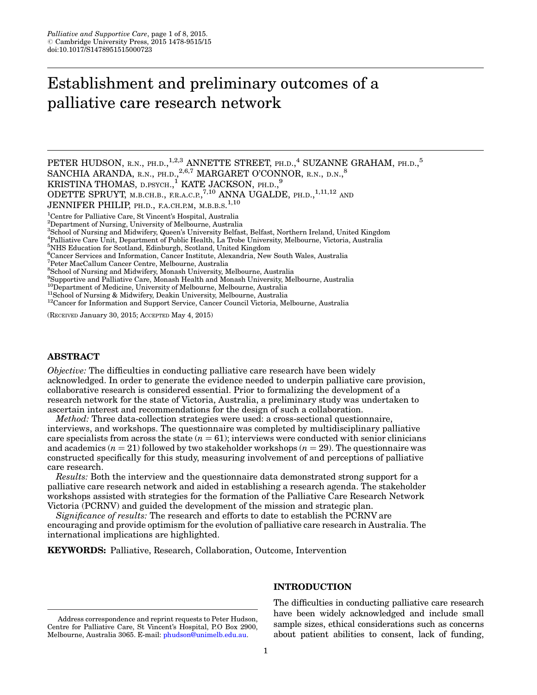# Establishment and preliminary outcomes of a palliative care research network

PETER HUDSON, R.N., PH.D.,<sup>1,2,3</sup> ANNETTE STREET, PH.D.,<sup>4</sup> SUZANNE GRAHAM, PH.D.,<sup>5</sup> SANCHIA ARANDA, R.N., PH.D., 2,6,7 MARGARET O'CONNOR, R.N., D.N., <sup>8</sup> KRISTINA THOMAS, D.PSYCH.,<sup>1</sup> KATE JACKSON, PH.D.,<sup>9</sup> ODETTE SPRUYT, M.B.CH.B., F.R.A.C.P.,<sup>7,10</sup> ANNA UGALDE, PH.D.,<sup>1,11,12</sup> AND

JENNIFER PHILIP, PH.D., F.A.CH.P.M, M.B.B.S.<sup>1,10</sup>

<sup>1</sup>Centre for Palliative Care, St Vincent's Hospital, Australia

2 Department of Nursing, University of Melbourne, Australia

3 School of Nursing and Midwifery, Queen's University Belfast, Belfast, Northern Ireland, United Kingdom

4 Palliative Care Unit, Department of Public Health, La Trobe University, Melbourne, Victoria, Australia

5 NHS Education for Scotland, Edinburgh, Scotland, United Kingdom

6 Cancer Services and Information, Cancer Institute, Alexandria, New South Wales, Australia

7 Peter MacCallum Cancer Centre, Melbourne, Australia

8 School of Nursing and Midwifery, Monash University, Melbourne, Australia

9 Supportive and Palliative Care, Monash Health and Monash University, Melbourne, Australia

<sup>10</sup>Department of Medicine, University of Melbourne, Melbourne, Australia<br><sup>11</sup>School of Nursing & Midwifery, Deakin University, Melbourne, Australia<br><sup>12</sup>Cancer for Information and Support Service, Cancer Council Victoria,

(RECEIVED January 30, 2015; ACCEPTED May 4, 2015)

## ABSTRACT

Objective: The difficulties in conducting palliative care research have been widely acknowledged. In order to generate the evidence needed to underpin palliative care provision, collaborative research is considered essential. Prior to formalizing the development of a research network for the state of Victoria, Australia, a preliminary study was undertaken to ascertain interest and recommendations for the design of such a collaboration.

Method: Three data-collection strategies were used: a cross-sectional questionnaire, interviews, and workshops. The questionnaire was completed by multidisciplinary palliative care specialists from across the state  $(n = 61)$ ; interviews were conducted with senior clinicians and academics ( $n = 21$ ) followed by two stakeholder workshops ( $n = 29$ ). The questionnaire was constructed specifically for this study, measuring involvement of and perceptions of palliative care research.

Results: Both the interview and the questionnaire data demonstrated strong support for a palliative care research network and aided in establishing a research agenda. The stakeholder workshops assisted with strategies for the formation of the Palliative Care Research Network Victoria (PCRNV) and guided the development of the mission and strategic plan.

Significance of results: The research and efforts to date to establish the PCRNV are encouraging and provide optimism for the evolution of palliative care research in Australia. The international implications are highlighted.

KEYWORDS: Palliative, Research, Collaboration, Outcome, Intervention

## INTRODUCTION

The difficulties in conducting palliative care research have been widely acknowledged and include small sample sizes, ethical considerations such as concerns about patient abilities to consent, lack of funding,

Address correspondence and reprint requests to Peter Hudson, Centre for Palliative Care, St Vincent's Hospital, P.O Box 2900, Melbourne, Australia 3065. E-mail: [phudson@unimelb.edu.au](mailto:phudson@unimelb.edu.au).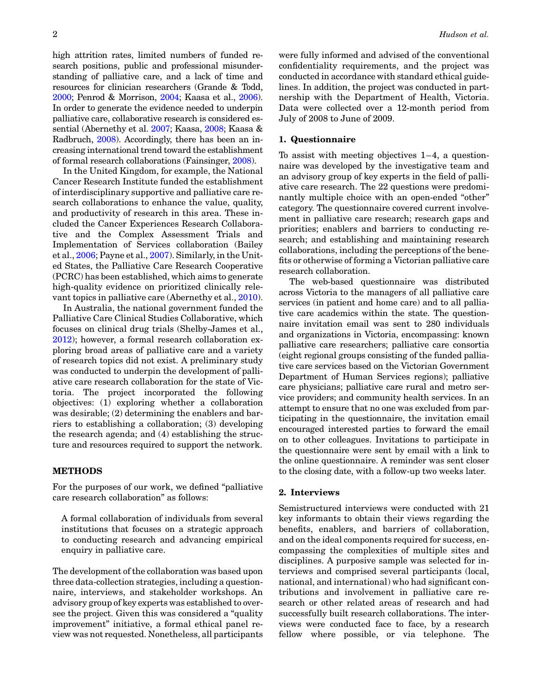high attrition rates, limited numbers of funded research positions, public and professional misunderstanding of palliative care, and a lack of time and resources for clinician researchers (Grande & Todd, [2000;](#page-7-0) Penrod & Morrison, [2004](#page-7-0); Kaasa et al., [2006](#page-7-0)). In order to generate the evidence needed to underpin palliative care, collaborative research is considered essential (Abernethy et al. [2007;](#page-6-0) Kaasa, [2008;](#page-7-0) Kaasa & Radbruch, [2008](#page-7-0)). Accordingly, there has been an increasing international trend toward the establishment of formal research collaborations (Fainsinger, [2008\)](#page-7-0).

In the United Kingdom, for example, the National Cancer Research Institute funded the establishment of interdisciplinary supportive and palliative care research collaborations to enhance the value, quality, and productivity of research in this area. These included the Cancer Experiences Research Collaborative and the Complex Assessment Trials and Implementation of Services collaboration (Bailey et al., [2006;](#page-7-0) Payne et al., [2007\)](#page-7-0). Similarly, in the United States, the Palliative Care Research Cooperative (PCRC) has been established, which aims to generate high-quality evidence on prioritized clinically relevant topics in palliative care (Abernethy et al., [2010\)](#page-7-0).

In Australia, the national government funded the Palliative Care Clinical Studies Collaborative, which focuses on clinical drug trials (Shelby-James et al., [2012](#page-7-0)); however, a formal research collaboration exploring broad areas of palliative care and a variety of research topics did not exist. A preliminary study was conducted to underpin the development of palliative care research collaboration for the state of Victoria. The project incorporated the following objectives: (1) exploring whether a collaboration was desirable; (2) determining the enablers and barriers to establishing a collaboration; (3) developing the research agenda; and (4) establishing the structure and resources required to support the network.

#### METHODS

For the purposes of our work, we defined "palliative care research collaboration" as follows:

A formal collaboration of individuals from several institutions that focuses on a strategic approach to conducting research and advancing empirical enquiry in palliative care.

The development of the collaboration was based upon three data-collection strategies, including a questionnaire, interviews, and stakeholder workshops. An advisory group of key experts was established to oversee the project. Given this was considered a "quality improvement" initiative, a formal ethical panel review was not requested. Nonetheless, all participants were fully informed and advised of the conventional confidentiality requirements, and the project was conducted in accordance with standard ethical guidelines. In addition, the project was conducted in partnership with the Department of Health, Victoria. Data were collected over a 12-month period from July of 2008 to June of 2009.

#### 1. Questionnaire

To assist with meeting objectives 1–4, a questionnaire was developed by the investigative team and an advisory group of key experts in the field of palliative care research. The 22 questions were predominantly multiple choice with an open-ended "other" category. The questionnaire covered current involvement in palliative care research; research gaps and priorities; enablers and barriers to conducting research; and establishing and maintaining research collaborations, including the perceptions of the benefits or otherwise of forming a Victorian palliative care research collaboration.

The web-based questionnaire was distributed across Victoria to the managers of all palliative care services (in patient and home care) and to all palliative care academics within the state. The questionnaire invitation email was sent to 280 individuals and organizations in Victoria, encompassing: known palliative care researchers; palliative care consortia (eight regional groups consisting of the funded palliative care services based on the Victorian Government Department of Human Services regions); palliative care physicians; palliative care rural and metro service providers; and community health services. In an attempt to ensure that no one was excluded from participating in the questionnaire, the invitation email encouraged interested parties to forward the email on to other colleagues. Invitations to participate in the questionnaire were sent by email with a link to the online questionnaire. A reminder was sent closer to the closing date, with a follow-up two weeks later.

## 2. Interviews

Semistructured interviews were conducted with 21 key informants to obtain their views regarding the benefits, enablers, and barriers of collaboration, and on the ideal components required for success, encompassing the complexities of multiple sites and disciplines. A purposive sample was selected for interviews and comprised several participants (local, national, and international) who had significant contributions and involvement in palliative care research or other related areas of research and had successfully built research collaborations. The interviews were conducted face to face, by a research fellow where possible, or via telephone. The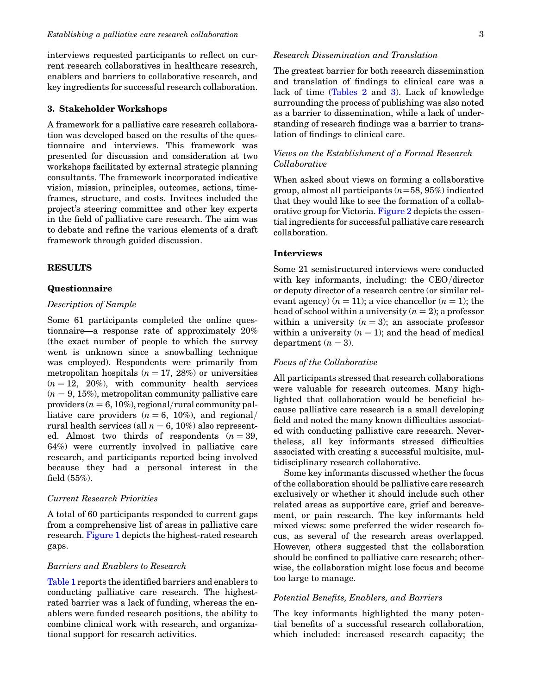interviews requested participants to reflect on current research collaboratives in healthcare research, enablers and barriers to collaborative research, and key ingredients for successful research collaboration.

#### 3. Stakeholder Workshops

A framework for a palliative care research collaboration was developed based on the results of the questionnaire and interviews. This framework was presented for discussion and consideration at two workshops facilitated by external strategic planning consultants. The framework incorporated indicative vision, mission, principles, outcomes, actions, timeframes, structure, and costs. Invitees included the project's steering committee and other key experts in the field of palliative care research. The aim was to debate and refine the various elements of a draft framework through guided discussion.

## **RESULTS**

## Questionnaire

## Description of Sample

Some 61 participants completed the online questionnaire—a response rate of approximately 20% (the exact number of people to which the survey went is unknown since a snowballing technique was employed). Respondents were primarily from metropolitan hospitals  $(n = 17, 28\%)$  or universities  $(n = 12, 20\%)$ , with community health services  $(n = 9, 15\%)$ , metropolitan community palliative care providers  $(n = 6, 10\%)$ , regional/rural community palliative care providers  $(n = 6, 10\%)$ , and regional/ rural health services (all  $n = 6, 10\%$ ) also represented. Almost two thirds of respondents  $(n = 39,$ 64%) were currently involved in palliative care research, and participants reported being involved because they had a personal interest in the field (55%).

### Current Research Priorities

A total of 60 participants responded to current gaps from a comprehensive list of areas in palliative care research. [Figure 1](#page-3-0) depicts the highest-rated research gaps.

# Barriers and Enablers to Research

[Table 1](#page-4-0) reports the identified barriers and enablers to conducting palliative care research. The highestrated barrier was a lack of funding, whereas the enablers were funded research positions, the ability to combine clinical work with research, and organizational support for research activities.

#### Research Dissemination and Translation

The greatest barrier for both research dissemination and translation of findings to clinical care was a lack of time [\(Tables 2](#page-4-0) and [3](#page-5-0)). Lack of knowledge surrounding the process of publishing was also noted as a barrier to dissemination, while a lack of understanding of research findings was a barrier to translation of findings to clinical care.

## Views on the Establishment of a Formal Research Collaborative

When asked about views on forming a collaborative group, almost all participants  $(n=58, 95%)$  indicated that they would like to see the formation of a collaborative group for Victoria. [Figure 2](#page-5-0) depicts the essential ingredients for successful palliative care research collaboration.

## Interviews

Some 21 semistructured interviews were conducted with key informants, including: the CEO/director or deputy director of a research centre (or similar relevant agency)  $(n = 11)$ ; a vice chancellor  $(n = 1)$ ; the head of school within a university  $(n = 2)$ ; a professor within a university  $(n = 3)$ ; an associate professor within a university  $(n = 1)$ ; and the head of medical department  $(n = 3)$ .

## Focus of the Collaborative

All participants stressed that research collaborations were valuable for research outcomes. Many highlighted that collaboration would be beneficial because palliative care research is a small developing field and noted the many known difficulties associated with conducting palliative care research. Nevertheless, all key informants stressed difficulties associated with creating a successful multisite, multidisciplinary research collaborative.

Some key informants discussed whether the focus of the collaboration should be palliative care research exclusively or whether it should include such other related areas as supportive care, grief and bereavement, or pain research. The key informants held mixed views: some preferred the wider research focus, as several of the research areas overlapped. However, others suggested that the collaboration should be confined to palliative care research; otherwise, the collaboration might lose focus and become too large to manage.

## Potential Benefits, Enablers, and Barriers

The key informants highlighted the many potential benefits of a successful research collaboration, which included: increased research capacity; the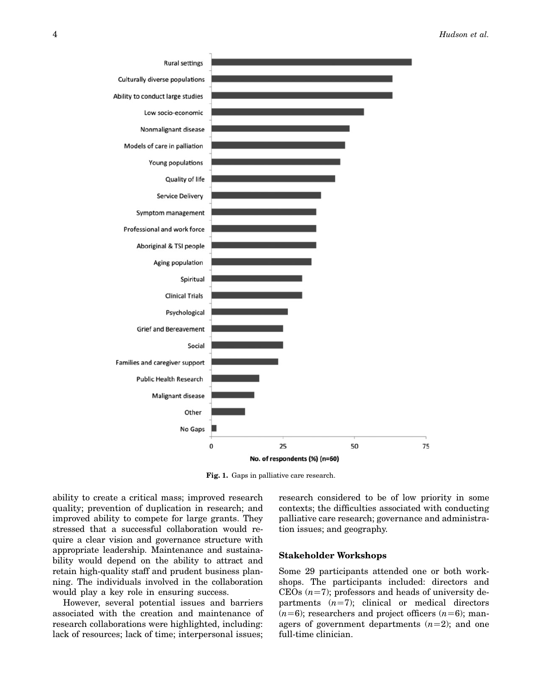<span id="page-3-0"></span>

Fig. 1. Gaps in palliative care research.

ability to create a critical mass; improved research quality; prevention of duplication in research; and improved ability to compete for large grants. They stressed that a successful collaboration would require a clear vision and governance structure with appropriate leadership. Maintenance and sustainability would depend on the ability to attract and retain high-quality staff and prudent business planning. The individuals involved in the collaboration would play a key role in ensuring success.

However, several potential issues and barriers associated with the creation and maintenance of research collaborations were highlighted, including: lack of resources; lack of time; interpersonal issues;

research considered to be of low priority in some contexts; the difficulties associated with conducting palliative care research; governance and administration issues; and geography.

#### Stakeholder Workshops

Some 29 participants attended one or both workshops. The participants included: directors and  $CEOs (n=7)$ ; professors and heads of university departments  $(n=7)$ ; clinical or medical directors  $(n=6)$ ; researchers and project officers  $(n=6)$ ; managers of government departments  $(n=2)$ ; and one full-time clinician.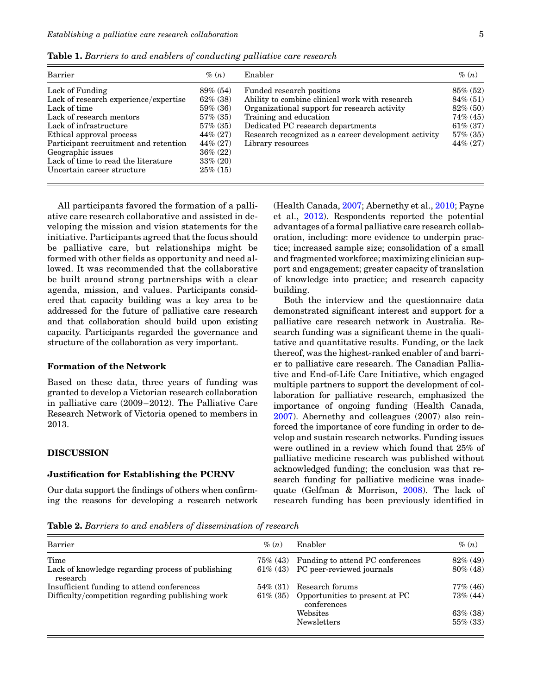| Barrier                               | $\%$ $(n)$  | Enabler                                              | $\%$ $(n)$  |
|---------------------------------------|-------------|------------------------------------------------------|-------------|
| Lack of Funding                       | $89\%~(54)$ | Funded research positions                            | 85% (52)    |
| Lack of research experience/expertise | $62\%$ (38) | Ability to combine clinical work with research       | $84\%$ (51) |
| Lack of time                          | 59% (36)    | Organizational support for research activity         | $82\%$ (50) |
| Lack of research mentors              | $57\%$ (35) | Training and education                               | $74\%$ (45) |
| Lack of infrastructure                | $57\%$ (35) | Dedicated PC research departments                    | $61\%$ (37) |
| Ethical approval process              | $44\%$ (27) | Research recognized as a career development activity | $57\%$ (35) |
| Participant recruitment and retention | $44\%$ (27) | Library resources                                    | $44\%$ (27) |
| Geographic issues                     | $36\% (22)$ |                                                      |             |
| Lack of time to read the literature   | $33\% (20)$ |                                                      |             |
| Uncertain career structure            | $25\%$ (15) |                                                      |             |

<span id="page-4-0"></span>Table 1. Barriers to and enablers of conducting palliative care research

All participants favored the formation of a palliative care research collaborative and assisted in developing the mission and vision statements for the initiative. Participants agreed that the focus should be palliative care, but relationships might be formed with other fields as opportunity and need allowed. It was recommended that the collaborative be built around strong partnerships with a clear agenda, mission, and values. Participants considered that capacity building was a key area to be addressed for the future of palliative care research and that collaboration should build upon existing capacity. Participants regarded the governance and structure of the collaboration as very important.

## Formation of the Network

Based on these data, three years of funding was granted to develop a Victorian research collaboration in palliative care (2009–2012). The Palliative Care Research Network of Victoria opened to members in 2013.

## DISCUSSION

#### Justification for Establishing the PCRNV

Our data support the findings of others when confirming the reasons for developing a research network (Health Canada, [2007](#page-7-0); Abernethy et al., [2010;](#page-7-0) Payne et al., [2012\)](#page-7-0). Respondents reported the potential advantages of a formal palliative care research collaboration, including: more evidence to underpin practice; increased sample size; consolidation of a small and fragmented workforce; maximizing clinician support and engagement; greater capacity of translation of knowledge into practice; and research capacity building.

Both the interview and the questionnaire data demonstrated significant interest and support for a palliative care research network in Australia. Research funding was a significant theme in the qualitative and quantitative results. Funding, or the lack thereof, was the highest-ranked enabler of and barrier to palliative care research. The Canadian Palliative and End-of-Life Care Initiative, which engaged multiple partners to support the development of collaboration for palliative research, emphasized the importance of ongoing funding (Health Canada, [2007](#page-7-0)). Abernethy and colleagues (2007) also reinforced the importance of core funding in order to develop and sustain research networks. Funding issues were outlined in a review which found that 25% of palliative medicine research was published without acknowledged funding; the conclusion was that research funding for palliative medicine was inadequate (Gelfman & Morrison, [2008\)](#page-7-0). The lack of research funding has been previously identified in

Table 2. Barriers to and enablers of dissemination of research

| Barrier                                                       | $\%$ $(n)$  | Enabler                                       | $\%$ $(n)$  |
|---------------------------------------------------------------|-------------|-----------------------------------------------|-------------|
| Time                                                          | $75\%$ (43) | Funding to attend PC conferences              | $82\%$ (49) |
| Lack of knowledge regarding process of publishing<br>research |             | $61\%$ (43) PC peer-reviewed journals         | $80\%$ (48) |
| Insufficient funding to attend conferences                    | $54\%$ (31) | Research forums                               | 77% (46)    |
| Difficulty/competition regarding publishing work              | $61\%$ (35) | Opportunities to present at PC<br>conferences | $73\%$ (44) |
|                                                               |             | Websites                                      | 63% (38)    |
|                                                               |             | Newsletters                                   | $55\%$ (33) |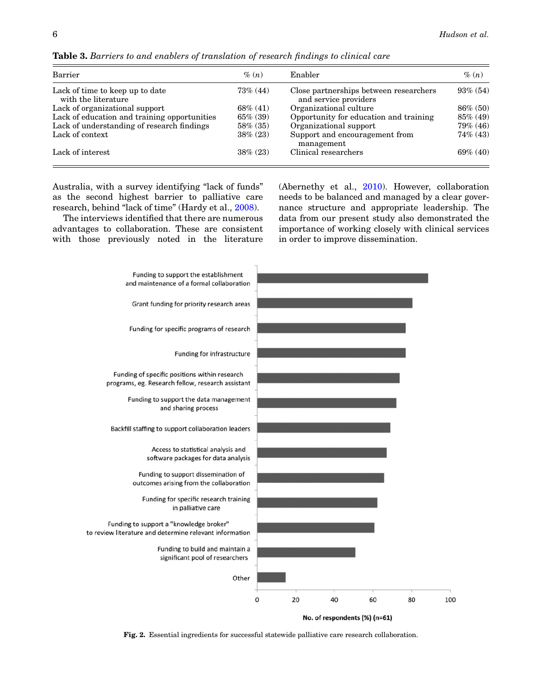| Barrier                                                | $\%$ $(n)$  | Enabler                                                         | $\%$ $(n)$  |
|--------------------------------------------------------|-------------|-----------------------------------------------------------------|-------------|
| Lack of time to keep up to date<br>with the literature | $73\%$ (44) | Close partnerships between researchers<br>and service providers | $93\%$ (54) |
| Lack of organizational support                         | $68\%$ (41) | Organizational culture                                          | 86% (50)    |
| Lack of education and training opportunities           | $65\%$ (39) | Opportunity for education and training                          | $85\%$ (49) |
| Lack of understanding of research findings             | 58% (35)    | Organizational support                                          | 79% (46)    |
| Lack of context                                        | $38\% (23)$ | Support and encouragement from<br>management                    | $74\%$ (43) |
| Lack of interest                                       | $38\% (23)$ | Clinical researchers                                            | $69\%$ (40) |

<span id="page-5-0"></span>Table 3. Barriers to and enablers of translation of research findings to clinical care

Australia, with a survey identifying "lack of funds" as the second highest barrier to palliative care research, behind "lack of time" (Hardy et al., [2008\)](#page-7-0).

The interviews identified that there are numerous advantages to collaboration. These are consistent with those previously noted in the literature

(Abernethy et al., [2010\)](#page-7-0). However, collaboration needs to be balanced and managed by a clear governance structure and appropriate leadership. The data from our present study also demonstrated the importance of working closely with clinical services in order to improve dissemination.



Fig. 2. Essential ingredients for successful statewide palliative care research collaboration.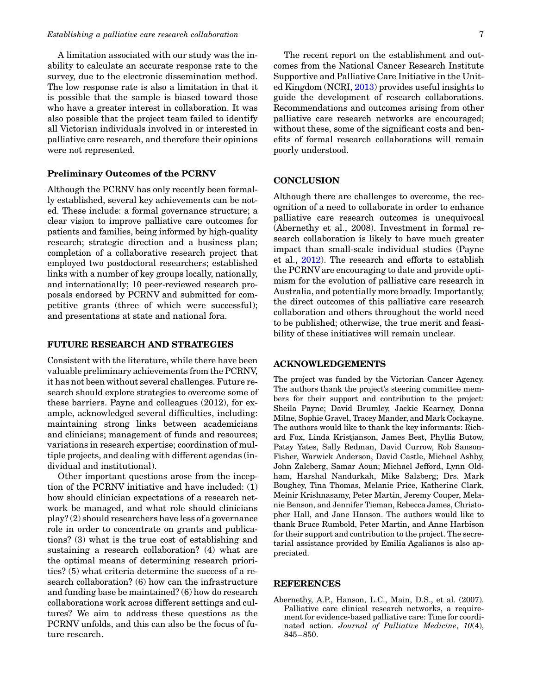<span id="page-6-0"></span>A limitation associated with our study was the inability to calculate an accurate response rate to the survey, due to the electronic dissemination method. The low response rate is also a limitation in that it is possible that the sample is biased toward those who have a greater interest in collaboration. It was also possible that the project team failed to identify all Victorian individuals involved in or interested in palliative care research, and therefore their opinions were not represented.

#### Preliminary Outcomes of the PCRNV

Although the PCRNV has only recently been formally established, several key achievements can be noted. These include: a formal governance structure; a clear vision to improve palliative care outcomes for patients and families, being informed by high-quality research; strategic direction and a business plan; completion of a collaborative research project that employed two postdoctoral researchers; established links with a number of key groups locally, nationally, and internationally; 10 peer-reviewed research proposals endorsed by PCRNV and submitted for competitive grants (three of which were successful); and presentations at state and national fora.

#### FUTURE RESEARCH AND STRATEGIES

Consistent with the literature, while there have been valuable preliminary achievements from the PCRNV, it has not been without several challenges. Future research should explore strategies to overcome some of these barriers. Payne and colleagues (2012), for example, acknowledged several difficulties, including: maintaining strong links between academicians and clinicians; management of funds and resources; variations in research expertise; coordination of multiple projects, and dealing with different agendas (individual and institutional).

Other important questions arose from the inception of the PCRNV initiative and have included: (1) how should clinician expectations of a research network be managed, and what role should clinicians play? (2) should researchers have less of a governance role in order to concentrate on grants and publications? (3) what is the true cost of establishing and sustaining a research collaboration? (4) what are the optimal means of determining research priorities? (5) what criteria determine the success of a research collaboration? (6) how can the infrastructure and funding base be maintained? (6) how do research collaborations work across different settings and cultures? We aim to address these questions as the PCRNV unfolds, and this can also be the focus of future research.

The recent report on the establishment and outcomes from the National Cancer Research Institute Supportive and Palliative Care Initiative in the United Kingdom (NCRI, [2013\)](#page-7-0) provides useful insights to guide the development of research collaborations. Recommendations and outcomes arising from other palliative care research networks are encouraged; without these, some of the significant costs and benefits of formal research collaborations will remain poorly understood.

#### **CONCLUSION**

Although there are challenges to overcome, the recognition of a need to collaborate in order to enhance palliative care research outcomes is unequivocal (Abernethy et al., 2008). Investment in formal research collaboration is likely to have much greater impact than small-scale individual studies (Payne et al., [2012\)](#page-7-0). The research and efforts to establish the PCRNVare encouraging to date and provide optimism for the evolution of palliative care research in Australia, and potentially more broadly. Importantly, the direct outcomes of this palliative care research collaboration and others throughout the world need to be published; otherwise, the true merit and feasibility of these initiatives will remain unclear.

#### ACKNOWLEDGEMENTS

The project was funded by the Victorian Cancer Agency. The authors thank the project's steering committee members for their support and contribution to the project: Sheila Payne; David Brumley, Jackie Kearney, Donna Milne, Sophie Gravel, Tracey Mander, and Mark Cockayne. The authors would like to thank the key informants: Richard Fox, Linda Kristjanson, James Best, Phyllis Butow, Patsy Yates, Sally Redman, David Currow, Rob Sanson-Fisher, Warwick Anderson, David Castle, Michael Ashby, John Zalcberg, Samar Aoun; Michael Jefford, Lynn Oldham, Harshal Nandurkah, Mike Salzberg; Drs. Mark Boughey, Tina Thomas, Melanie Price, Katherine Clark, Meinir Krishnasamy, Peter Martin, Jeremy Couper, Melanie Benson, and Jennifer Tieman, Rebecca James, Christopher Hall, and Jane Hanson. The authors would like to thank Bruce Rumbold, Peter Martin, and Anne Harbison for their support and contribution to the project. The secretarial assistance provided by Emilia Agalianos is also appreciated.

#### REFERENCES

Abernethy, A.P., Hanson, L.C., Main, D.S., et al. (2007). Palliative care clinical research networks, a requirement for evidence-based palliative care: Time for coordinated action. Journal of Palliative Medicine, 10(4), 845–850.